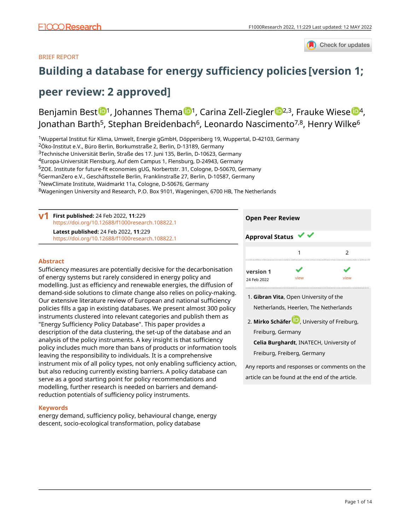

# BRIEF REPORT

# **[Building a database for energy sufficiency policies](https://f1000research.com/articles/11-229/v1) [version 1;**

# **peer review: 2 approved]**

Benjamin Best  $\mathbb{D}^1$ , Johannes Thema  $\mathbb{D}^1$ , Ca[r](https://orcid.org/0000-0002-4958-8496)ina Zell-Ziegler  $\mathbb{D}^{2,3}$ , Frauke Wiese  $\mathbb{D}^4$ , Jonathan Barth<sup>5</sup>, Stephan Breidenbach<sup>6</sup>, Leonardo Nascimento<sup>7,8</sup>, Henry Wilke<sup>6</sup>

Wuppertal Institut für Klima, Umwelt, Energie gGmbH, Döppersberg 19, Wuppertal, D-42103, Germany Öko-Institut e.V., Büro Berlin, Borkumstraße 2, Berlin, D-13189, Germany Technische Universität Berlin, Straße des 17. Juni 135, Berlin, D-10623, Germany Europa-Universität Flensburg, Auf dem Campus 1, Flensburg, D-24943, Germany <sup>5</sup>ZOE. Institute for future-fit economies gUG, Norbertstr. 31, Cologne, D-50670, Germany GermanZero e.V., Geschäftsstelle Berlin, Franklinstraße 27, Berlin, D-10587, Germany NewClimate Institute, Waidmarkt 11a, Cologne, D-50676, Germany Wageningen University and Research, P.O. Box 9101, Wageningen, 6700 HB, The Netherlands

**First published:** 24 Feb 2022, **11**:229 **v1** <https://doi.org/10.12688/f1000research.108822.1> **Latest published:** 24 Feb 2022, **11**:229 <https://doi.org/10.12688/f1000research.108822.1>

### **Abstract**

Sufficiency measures are potentially decisive for the decarbonisation of energy systems but rarely considered in energy policy and modelling. Just as efficiency and renewable energies, the diffusion of demand-side solutions to climate change also relies on policy-making. Our extensive literature review of European and national sufficiency policies fills a gap in existing databases. We present almost 300 policy instruments clustered into relevant categories and publish them as "Energy Sufficiency Policy Database". This paper provides a description of the data clustering, the set-up of the database and an analysis of the policy instruments. A key insight is that sufficiency policy includes much more than bans of products or information tools leaving the responsibility to individuals. It is a comprehensive instrument mix of all policy types, not only enabling sufficiency action, but also reducing currently existing barriers. A policy database can serve as a good starting point for policy recommendations and modelling, further research is needed on barriers and demandreduction potentials of sufficiency policy instruments.

### **Keywords**

energy demand, sufficiency policy, behavioural change, energy descent, socio-ecological transformation, policy database

| <b>Open Peer Review</b> |      |      |
|-------------------------|------|------|
| <b>Approval Status</b>  |      |      |
|                         |      | 2    |
| version 1               |      |      |
| 24 Feb 2022             | view | view |

**Gibran Vita**, Open University of the 1. Netherlands, Heerlen, The Netherlands

**Mirko Schäfe[r](https://orcid.org/0000-0002-8029-949X)** , University of Freiburg, 2. Freiburg, Germany

**Celia Burghardt**, INATECH, University of Freiburg, Freiberg, Germany

Any reports and responses or comments on the article can be found at the end of the article.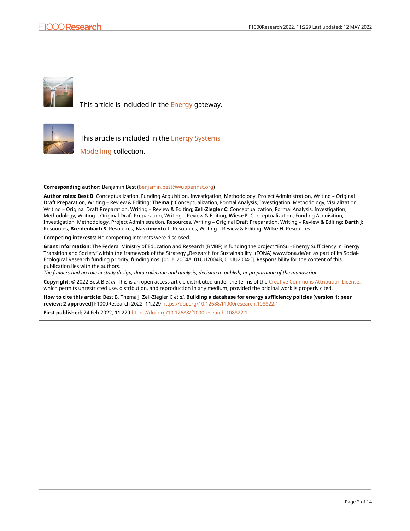

This article is included in the [Energy](https://f1000research.com/gateways/energy) gateway.



This article is included in the **Energy Systems** 

[Modelling](https://f1000research.com/collections/energy-systems-modelling) collection.

**Corresponding author:** Benjamin Best [\(benjamin.best@wupperinst.org\)](mailto:benjamin.best@wupperinst.org)

**Author roles: Best B**: Conceptualization, Funding Acquisition, Investigation, Methodology, Project Administration, Writing – Original Draft Preparation, Writing – Review & Editing; **Thema J**: Conceptualization, Formal Analysis, Investigation, Methodology, Visualization, Writing – Original Draft Preparation, Writing – Review & Editing; **Zell-Ziegler C**: Conceptualization, Formal Analysis, Investigation, Methodology, Writing – Original Draft Preparation, Writing – Review & Editing; **Wiese F**: Conceptualization, Funding Acquisition, Investigation, Methodology, Project Administration, Resources, Writing – Original Draft Preparation, Writing – Review & Editing; **Barth J**: Resources; **Breidenbach S**: Resources; **Nascimento L**: Resources, Writing – Review & Editing; **Wilke H**: Resources

**Competing interests:** No competing interests were disclosed.

**Grant information:** The Federal Ministry of Education and Research (BMBF) is funding the project "EnSu - Energy Sufficiency in Energy Transition and Society" within the framework of the Strategy "Research for Sustainability" (FONA) www.fona.de/en as part of its Social-Ecological Research funding priority, funding nos. [01UU2004A, 01UU2004B, 01UU2004C]. Responsibility for the content of this publication lies with the authors.

*The funders had no role in study design, data collection and analysis, decision to publish, or preparation of the manuscript.*

**Copyright:** © 2022 Best B *et al*. This is an open access article distributed under the terms of the [Creative Commons Attribution License,](http://creativecommons.org/licenses/by/4.0/) which permits unrestricted use, distribution, and reproduction in any medium, provided the original work is properly cited.

**How to cite this article:** Best B, Thema J, Zell-Ziegler C *et al.* **Building a database for energy sufficiency policies [version 1; peer review: 2 approved]** F1000Research 2022, **11**:229<https://doi.org/10.12688/f1000research.108822.1>

**First published:** 24 Feb 2022, **11**:229 <https://doi.org/10.12688/f1000research.108822.1>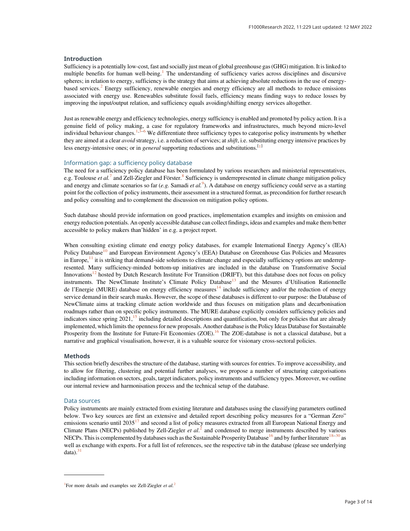#### Introduction

Sufficiency is a potentially low-cost, fast and socially just mean of global greenhouse gas (GHG) mitigation. It is linked to multiple benefits for human well-being.<sup>[1](#page-7-0)</sup> The understanding of sufficiency varies across disciplines and discursive spheres; in relation to energy, sufficiency is the strategy that aims at achieving absolute reductions in the use of energy-based services.<sup>[2](#page-7-0)</sup> Energy sufficiency, renewable energies and energy efficiency are all methods to reduce emissions associated with energy use. Renewables substitute fossil fuels, efficiency means finding ways to reduce losses by improving the input/output relation, and sufficiency equals avoiding/shifting energy services altogether.

Just as renewable energy and efficiency technologies, energy sufficiency is enabled and promoted by policy action. It is a genuine field of policy making, a case for regulatory frameworks and infrastructures, much beyond micro-level individual behaviour changes.<sup>[1,3](#page-7-0)–[6](#page-7-0)</sup> We differentiate three sufficiency types to categorise policy instruments by whether they are aimed at a clear avoid strategy, i.e. a reduction of services; at shift, i.e. substituting energy intensive practices by less energy-intensive ones; or in *general* supporting reductions and substitutions.<sup>[1]</sup>

#### Information gap: a sufficiency policy database

The need for a sufficiency policy database has been formulated by various researchers and ministerial representatives, e.g. Toulouse *et al.*<sup>[7](#page-7-0)</sup> and Zell-Ziegler and Förster.<sup>[8](#page-7-0)</sup> Sufficiency is underrepresented in climate change mitigation policy and energy and climate scenarios so far (e.g. Samadi et al.<sup>[9](#page-7-0)</sup>). A database on energy sufficiency could serve as a starting point for the collection of policy instruments, their assessment in a structured format, as precondition for further research and policy consulting and to complement the discussion on mitigation policy options.

Such database should provide information on good practices, implementation examples and insights on emission and energy reduction potentials. An openly accessible database can collect findings, ideas and examples and make them better accessible to policy makers than'hidden' in e.g. a project report.

When consulting existing climate end energy policy databases, for example International Energy Agency's (IEA) Policy Database<sup>[10](#page-7-0)</sup> and European Environment Agency's (EEA) Database on Greenhouse Gas Policies and Measures in Europe, $\frac{11}{11}$  $\frac{11}{11}$  $\frac{11}{11}$  it is striking that demand-side solutions to climate change and especially sufficiency options are underrepresented. Many sufficiency-minded bottom-up initiatives are included in the database on Transformative Social Innovations<sup>[12](#page-7-0)</sup> hosted by Dutch Research Institute For Transition (DRIFT), but this database does not focus on policy instruments. The NewClimate Institute's Climate Policy Database<sup>[13](#page-7-0)</sup> and the Mesures d'Utilisation Rationnelle de l'Energie (MURE) database on energy efficiency measures<sup>[14](#page-7-0)</sup> include sufficiency and/or the reduction of energy service demand in their search masks. However, the scope of these databases is different to our purpose: the Database of NewClimate aims at tracking climate action worldwide and thus focuses on mitigation plans and decarbonisation roadmaps rather than on specific policy instruments. The MURE database explicitly considers sufficiency policies and indicators since spring  $2021$ ,<sup>[15](#page-7-0)</sup> including detailed descriptions and quantification, but only for policies that are already implemented, which limits the openness for new proposals. Another database is the Policy Ideas Database for Sustainable Prosperity from the Institute for Future-Fit Economies (ZOE).<sup>16</sup> The ZOE-database is not a classical database, but a narrative and graphical visualisation, however, it is a valuable source for visionary cross-sectoral policies.

#### Methods

This section briefly describes the structure of the database, starting with sources for entries. To improve accessibility, and to allow for filtering, clustering and potential further analyses, we propose a number of structuring categorisations including information on sectors, goals, target indicators, policy instruments and sufficiency types. Moreover, we outline our internal review and harmonisation process and the technical setup of the database.

#### Data sources

Policy instruments are mainly extracted from existing literature and databases using the classifying parameters outlined below. Two key sources are first an extensive and detailed report describing policy measures for a "German Zero" emissions scenario until  $2035^{17}$  and second a list of policy measures extracted from all European National Energy and Climate Plans (NECPs) published by Zell-Ziegler et  $al^2$  $al^2$  and condensed to merge instruments described by various NECPs. This is complemented by databases such as the Sustainable Prosperity Database<sup>[16](#page-7-0)</sup> and by further literature<sup>[18](#page-7-0)–[30](#page-8-0)</sup> as well as exchange with experts. For a full list of references, see the respective tab in the database (please see underlying  $data)$ .<sup>3</sup>

<sup>&</sup>lt;sup>1</sup>For more details and examples see Zell-Ziegler et  $al$ <sup>[2](#page-7-0)</sup>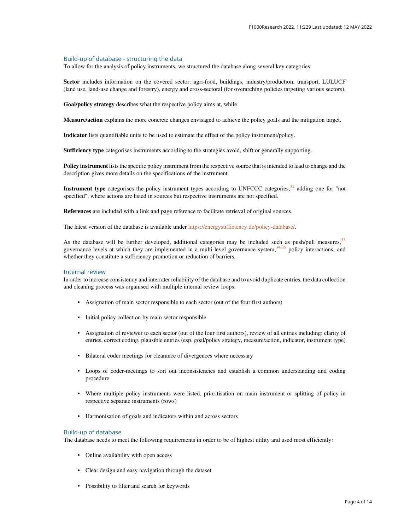#### Build-up of database - structuring the data

To allow for the analysis of policy instruments, we structured the database along several key categories:

Sector includes information on the covered sector: agri-food, buildings, industry/production, transport, LULUCF (land use, land-use change and forestry), energy and cross-sectoral (for overarching policies targeting various sectors).

Goal/policy strategy describes what the respective policy aims at, while

Measure/action explains the more concrete changes envisaged to achieve the policy goals and the mitigation target.

Indicator lists quantifiable units to be used to estimate the effect of the policy instrument/policy.

Sufficiency type categorises instruments according to the strategies avoid, shift or generally supporting.

Policy instrument lists the specific policy instrument from the respective source that is intended to lead to change and the description gives more details on the specifications of the instrument.

Instrument type categorises the policy instrument types according to UNFCCC categories,<sup>[32](#page-8-0)</sup> adding one for "not specified", where actions are listed in sources but respective instruments are not specified.

References are included with a link and page reference to facilitate retrieval of original sources.

The latest version of the database is available under [https://energysufficiency.de/policy-database/.](https://energysufficiency.de/policy-database/)

As the database will be further developed, additional categories may be included such as push/pull measures,  $33$ governance levels at which they are implemented in a multi-level governance system, $34,35$  $34,35$  policy interactions, and whether they constitute a sufficiency promotion or reduction of barriers.

#### Internal review

In order to increase consistency and interrater reliability of the database and to avoid duplicate entries, the data collection and cleaning process was organised with multiple internal review loops:

- Assignation of main sector responsible to each sector (out of the four first authors)
- Initial policy collection by main sector responsible
- Assignation of reviewer to each sector (out of the four first authors), review of all entries including: clarity of entries, correct coding, plausible entries (esp. goal/policy strategy, measure/action, indicator, instrument type)
- Bilateral coder meetings for clearance of divergences where necessary
- Loops of coder-meetings to sort out inconsistencies and establish a common understanding and coding procedure
- Where multiple policy instruments were listed, prioritisation on main instrument or splitting of policy in respective separate instruments (rows)
- Harmonisation of goals and indicators within and across sectors

#### Build-up of database

The database needs to meet the following requirements in order to be of highest utility and used most efficiently:

- Online availability with open access
- Clear design and easy navigation through the dataset
- Possibility to filter and search for keywords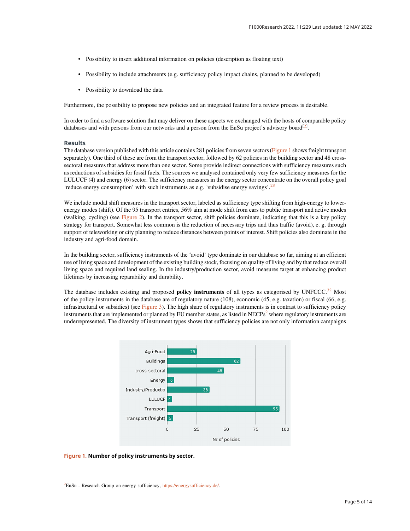- Possibility to insert additional information on policies (description as floating text)
- Possibility to include attachments (e.g. sufficiency policy impact chains, planned to be developed)
- Possibility to download the data

Furthermore, the possibility to propose new policies and an integrated feature for a review process is desirable.

In order to find a software solution that may deliver on these aspects we exchanged with the hosts of comparable policy databases and with persons from our networks and a person from the EnSu project's advisory board<sup>[2]</sup>.

#### **Results**

The database version published with this article contains 281 policies from seven sectors (Figure 1 shows freight transport separately). One third of these are from the transport sector, followed by 62 policies in the building sector and 48 crosssectoral measures that address more than one sector. Some provide indirect connections with sufficiency measures such as reductions of subsidies for fossil fuels. The sources we analysed contained only very few sufficiency measures for the LULUCF (4) and energy (6) sector. The sufficiency measures in the energy sector concentrate on the overall policy goal 'reduce energy consumption' with such instruments as e.g. 'subsidise energy savings'.<sup>[28](#page-8-0)</sup>

We include modal shift measures in the transport sector, labeled as sufficiency type shifting from high-energy to lowerenergy modes (shift). Of the 95 transport entries, 56% aim at mode shift from cars to public transport and active modes (walking, cycling) (see [Figure 2](#page-5-0)). In the transport sector, shift policies dominate, indicating that this is a key policy strategy for transport. Somewhat less common is the reduction of necessary trips and thus traffic (avoid), e. g. through support of teleworking or city planning to reduce distances between points of interest. Shift policies also dominate in the industry and agri-food domain.

In the building sector, sufficiency instruments of the 'avoid' type dominate in our database so far, aiming at an efficient use of living space and development of the existing building stock, focusing on quality of living and by that reduce overall living space and required land sealing. In the industry/production sector, avoid measures target at enhancing product lifetimes by increasing reparability and durability.

The database includes existing and proposed **policy instruments** of all types as categorised by UNFCCC.<sup>[32](#page-8-0)</sup> Most of the policy instruments in the database are of regulatory nature (108), economic (45, e.g. taxation) or fiscal (66, e.g. infrastructural or subsidies) (see [Figure 3\)](#page-5-0). The high share of regulatory instruments is in contrast to sufficiency policy instruments that are implemented or planned by EU member states, as listed in  $NECPs<sup>2</sup>$  $NECPs<sup>2</sup>$  $NECPs<sup>2</sup>$  where regulatory instruments are underrepresented. The diversity of instrument types shows that sufficiency policies are not only information campaigns



#### Figure 1. Number of policy instruments by sector.

<sup>&</sup>lt;sup>2</sup>EnSu - Research Group on energy sufficiency, <https://energysufficiency.de/>.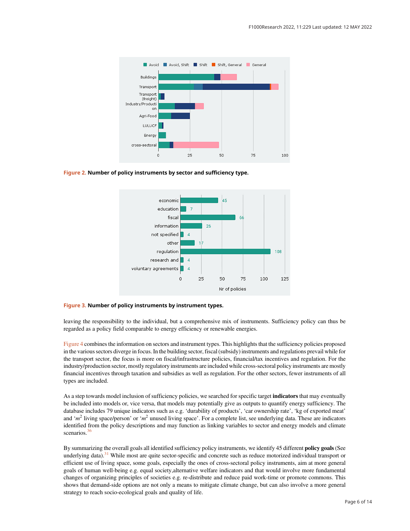<span id="page-5-0"></span>

Figure 2. Number of policy instruments by sector and sufficiency type.



#### Figure 3. Number of policy instruments by instrument types.

leaving the responsibility to the individual, but a comprehensive mix of instruments. Sufficiency policy can thus be regarded as a policy field comparable to energy efficiency or renewable energies.

[Figure 4](#page-6-0) combines the information on sectors and instrument types. This highlights that the sufficiency policies proposed in the various sectors diverge in focus. In the building sector, fiscal (subsidy) instruments and regulations prevail while for the transport sector, the focus is more on fiscal/infrastructure policies, financial/tax incentives and regulation. For the industry/production sector, mostly regulatory instruments are included while cross-sectoral policy instruments are mostly financial incentives through taxation and subsidies as well as regulation. For the other sectors, fewer instruments of all types are included.

As a step towards model inclusion of sufficiency policies, we searched for specific target **indicators** that may eventually be included into models or, vice versa, that models may potentially give as outputs to quantify energy sufficiency. The database includes 79 unique indicators such as e.g. 'durability of products', 'car ownership rate', 'kg of exported meat' and ' $m<sup>2</sup>$  living space/person' or 'm<sup>2</sup> unused living space'. For a complete list, see underlying data. These are indicators identified from the policy descriptions and may function as linking variables to sector and energy models and climate scenarios. $36$ 

By summarizing the overall goals all identified sufficiency policy instruments, we identify 45 different policy goals(See underlying data).<sup>[31](#page-8-0)</sup> While most are quite sector-specific and concrete such as reduce motorized individual transport or efficient use of living space, some goals, especially the ones of cross-sectoral policy instruments, aim at more general goals of human well-being e.g. equal society,alternative welfare indicators and that would involve more fundamental changes of organizing principles of societies e.g. re-distribute and reduce paid work-time or promote commons. This shows that demand-side options are not only a means to mitigate climate change, but can also involve a more general strategy to reach socio-ecological goals and quality of life.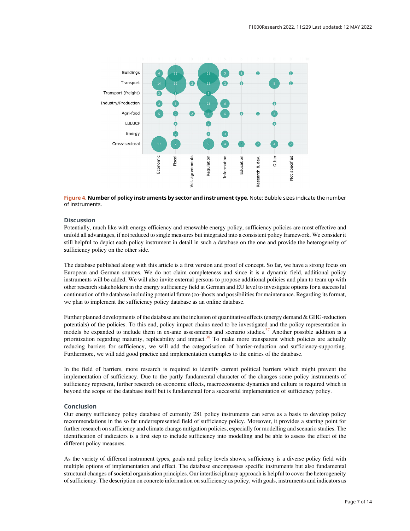<span id="page-6-0"></span>

Figure 4. Number of policy instruments by sector and instrument type. Note: Bubble sizes indicate the number of instruments.

#### **Discussion**

Potentially, much like with energy efficiency and renewable energy policy, sufficiency policies are most effective and unfold all advantages, if not reduced to single measures but integrated into a consistent policy framework. We consider it still helpful to depict each policy instrument in detail in such a database on the one and provide the heterogeneity of sufficiency policy on the other side.

The database published along with this article is a first version and proof of concept. So far, we have a strong focus on European and German sources. We do not claim completeness and since it is a dynamic field, additional policy instruments will be added. We will also invite external persons to propose additional policies and plan to team up with other research stakeholders in the energy sufficiency field at German and EU level to investigate options for a successful continuation of the database including potential future (co-)hosts and possibilities for maintenance. Regarding its format, we plan to implement the sufficiency policy database as an online database.

Further planned developments of the database are the inclusion of quantitative effects (energy demand & GHG-reduction potentials) of the policies. To this end, policy impact chains need to be investigated and the policy representation in models be expanded to include them in ex-ante assessments and scenario studies.<sup>37</sup> Another possible addition is a prioritization regarding maturity, replicability and impact.<sup>[38](#page-8-0)</sup> To make more transparent which policies are actually reducing barriers for sufficiency, we will add the categorisation of barrier-reduction and sufficiency-supporting. Furthermore, we will add good practice and implementation examples to the entries of the database.

In the field of barriers, more research is required to identify current political barriers which might prevent the implementation of sufficiency. Due to the partly fundamental character of the changes some policy instruments of sufficiency represent, further research on economic effects, macroeconomic dynamics and culture is required which is beyond the scope of the database itself but is fundamental for a successful implementation of sufficiency policy.

#### Conclusion

Our energy sufficiency policy database of currently 281 policy instruments can serve as a basis to develop policy recommendations in the so far underrepresented field of sufficiency policy. Moreover, it provides a starting point for further research on sufficiency and climate change mitigation policies, especially for modelling and scenario studies. The identification of indicators is a first step to include sufficiency into modelling and be able to assess the effect of the different policy measures.

As the variety of different instrument types, goals and policy levels shows, sufficiency is a diverse policy field with multiple options of implementation and effect. The database encompasses specific instruments but also fundamental structural changes of societal organisation principles. Our interdisciplinary approach is helpful to cover the heterogeneity of sufficiency. The description on concrete information on sufficiency as policy, with goals, instruments and indicators as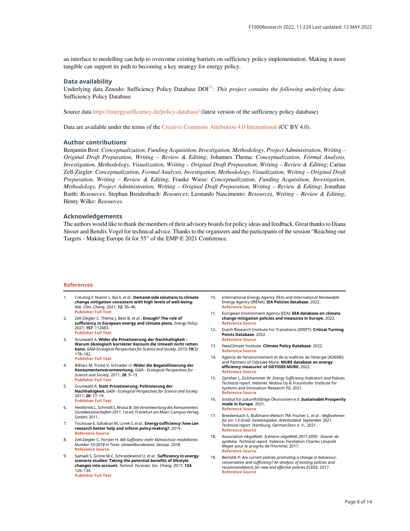<span id="page-7-0"></span>an interface to modelling can help to overcome existing barriers on sufficiency policy implementation. Making it more tangible can support its path to becoming a key strategy for energy policy.

#### Data availability

Underlying data Zenodo: Sufficiency Policy Database  $DOI<sup>31</sup>$  $DOI<sup>31</sup>$  $DOI<sup>31</sup>$ : This project contains the following underlying data: Sufficiency Policy Database

Source data <https://energysufficiency.de/policy-database/> (latest version of the sufficiency policy database)

Data are available under the terms of the [Creative Commons Attribution 4.0 International](https://creativecommons.org/licenses/by/4.0/) (CC BY 4.0).

#### Author contributions

Benjamin Best: Conceptualization, Funding Acquisition, Investigation, Methodology, Project Administration, Writing – Original Draft Preparation, Writing – Review & Editing; Johannes Thema: Conceptualization, Formal Analysis, Investigation, Methodology, Visualization, Writing – Original Draft Preparation, Writing – Review & Editing; Carina Zell-Ziegler: Conceptualization, Formal Analysis, Investigation, Methodology, Visualization, Writing – Original Draft Preparation, Writing – Review & Editing; Frauke Wiese: Conceptualization, Funding Acquisition, Investigation, Methodology, Project Administration, Writing – Original Draft Preparation, Writing – Review & Editing; Jonathan Barth: Resources; Stephan Breidenbach: Resources; Leonardo Nascimento: Resources, Writing – Review & Editing; Henry Wilke: Resources

#### Acknowledgements

The authors would like to thank the members of their advisory boards for policy ideas and feedback. Great thanks to Diana Süsser and Bendix Vogel for technical advice. Thanks to the organizers and the participants of the session "Reaching our Targets - Making Europe fit for 55" of the EMP-E 2021 Conference.

#### References

- Creutzig F, Niamir L, Bai X, et al.: Demand-side solutions to climate change mitigation consistent with high levels of well-being. Nat. Clim. Chang. 2021; 12: 36–46. [Publisher Full Text](https://doi.org/10.1038/s41558-021-01219-y)
- 2. Zell-Ziegler C, Thema J, Best B, et al.: Enough? The role of **sufficiency in European energy and climate plans.** *Energy Policy.*<br>2021; **157**: 112483. [Publisher Full Text](https://doi.org/10.1016/j.enpol.2021.112483)
- 3. Grunwald A: Wider die Privatisierung der Nachhaltigkeit Warum ökologisch korrekter Konsum die Umwelt nicht retten<br>kann. GAIA-Ecological Perspectives for Science and Society. 2010; **19**(3): 178–182. [Publisher Full Text](https://doi.org/10.14512/gaia.19.3.6)
	-
- 4. Bilharz M, Fricke V, Schrader U: Wider die Bagatellisierung der Konsumentenverantwortung. GAIA - Ecological Perspectives for Science and Society. 2011; 20: 9–13. [Publisher Full Text](https://doi.org/10.14512/gaia.20.1.3)
- 5. Grunwald A: Statt Privatisierung: Politisierung der Nachhaltigkeit. GAIA - Ecological Perspectives for Science and Society. 2011; 20: 17–19. [Publisher Full Text](https://doi.org/10.14512/gaia.20.1.5)
- 6. Heidbrink L, Schmidt I, Ahaus B: Die Verantwortung des Konsumenten. Sozialwissenschaften 2011. 1st ed. Frankfurt am Main: Campus Verlag GmbH; 2011.
- 7. Toulouse E, Sahakian M, Lorek S, et al.: Energy sufficiency: how can research better help and inform policy-making?. 2019. [Reference Source](https://www.eceee.org/library/conference_proceedings/eceee_Summer_Studies/2019/2-whats-next-in-energy-policy/energy-sufficiency-how-can-research-better-help-and-inform-policy-making/2019/2-190-19_Toulouse.pdf/)
- 8. Zell-Ziegler C, Förster H: Mit Suffizienz mehr Klimaschutz modellieren. Number 55/2018 in Texte. Umweltbundesamt, Dessau. 2018. [Reference Source](https://www.umweltbundesamt.de/sites/default/files/medien/1410/publikationen/uba_texte_55_2018_zwischenbericht_mit_suffizienz_mehr_klimaschutz_modellieren.pdf)
- Samadi S, Gröne M-C, Schneidewind U, et al.: Sufficiency in energy scenario studies: Taking the potential benefits of lifestyle changes into account. Technol. Forecast. Soc. Chang. 2017; 124: 126–134. [Publisher Full Text](https://doi.org/10.1016/j.techfore.2016.09.013)
- 10. International Energy Agency (IEA) and International Renewable Energy Agency (IRENA): IEA Policies database. 2022. [Reference Source](https://www.iea.org/policies)
- 11. European Environment Agency (EEA): EEA database on climate change mitigation policies and measures in Europe. 2022. [Reference Source](http://pam.apps.eea.europa.eu)
- 12. Dutch Research Institute For Transitions (DRIFT): Critical Turning Points Database. 2022. [Reference Source](http://www.transitsocialinnovation.eu/sii-tag-search)
- 13. NewClimate Institute: Climate Policy Database. 2022. [Reference Source](https://climatepolicydatabase.org/)
- 14. Agence de l'environnement et de la maîtrise de l'énergie (ADEME) and Partners of Odyssee-Mure: MURE database on energy efficiency measures' of ODYSSEE-MURE. 2022. [Reference Source](https://www.measures.odyssee-mure.eu/energy-efficiency-policies-database.html#/)
- 15. Gynther L, Eichhammer W: Energy Sufficiency Indicators and Policies. Technical report. Helsinki: Motiva Oy & Fraunhofer Institute for Systems and Innovation Research ISI; 2021. [Reference Source](https://www.odyssee-mure.eu/publications/policy-brief/energy-sufficiency.pdf)
- 16. Institut für zukunftsfähige Ökonomien e.V: Sustainable Prosperity made in Europe. 2021. [Reference Source](https://sustainable-prosperity.eu/)
- 17. Breidenbach S, Bußmann-Welsch TM, Fischer L, et al.: Maßnahmen für ein 1,5-Grad- Gesetzespaket. Arbeitsstand: September 2021. Technical report. Hamburg: GermanZero e. V.; 2021. [Reference Source](https://germanzero.de/media/pages/assets/fcd6e7bfe9-1638758195/GermanZero_Massnahmenkatalog_210907.pdf)
- 18. Association négaWatt: Scénario négaWatt 2017-2050 Dossier de synthèse. Technical report. Valence: Fondation Charles Léopold Mayer pour le progrès de l'Homme; 2017. [Reference Source](https://negawatt.org/IMG/pdf/synthese_scenario-negawatt_2017-2050.pdf)
- 19. Bertoldi P: Are current policies promoting a change in behaviour, conservation and sufficiency? An analysis of existing policies and recommendations for new and effective policies.ECEEE; 2017. [Reference Source](http://proceedings.eceee.org/vispanel.php?event=7)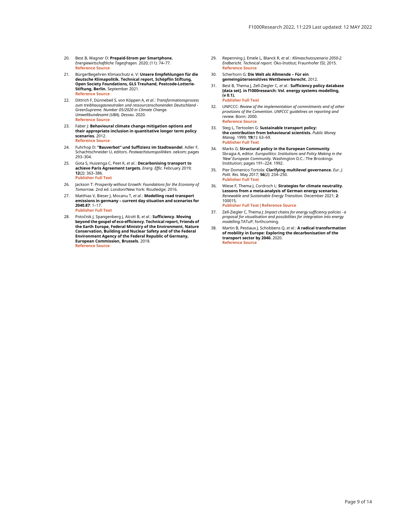- <span id="page-8-0"></span>20. Best B, Wagner O: Prepaid-Strom per Smartphone. Energiewirtschaftliche Tagesfragen. 2020; (11): 74–77. [Reference Source](https://epub.wupperinst.org/files/7610/7610_Best.pdf)
- 21. BürgerBegehren Klimaschutz e. V: Unsere Empfehlungen für die deutsche Klimapolitik. Technical report, Schöpflin Stiftung, Open Society Foundations, GLS Treuhand, Postcode-Lotterie-Stiftung, Berlin. September 2021. [Reference Source](https://buergerrat-klima.de/content/pdfs/B%C3%BCrgerrat%20Klima%202021_Das%20B%C3%BCrgergutachten.pdf)
- 22. Dittrich F, Dünnebeil S, von Köppen A, et al.: Transformationsprozess zum treibhausgasneutralen und ressourcenschonenden Deutschland - GreenSupreme. Number 05/2020 in Climate Change. Umweltbundesamt (UBA), Dessau. 2020. [Reference Source](https://www.umweltbundesamt.de/publikationen/transformationsprozess-treibhausgasneutrales-ressourcenschonendes-deutschland-greensupreme)
- 23. Faber J: Behavioural climate change mitigation options and their appropriate inclusion in quantitative longer term policy scenarios. 2012. [Reference Source](https://ec.europa.eu/clima/system/files/2016-11/main_report_en.pdf)
- 24. Fuhrhop D: "Bauverbot" und Suffizienz im Stadtwandel. Adler F, Schachtschneider U, editors. Postwachstumspolitiken. oekom; pages 293–304.
- 25. Gota S, Huizenga C, Peet K, et al.: Decarbonising transport to achieve Paris Agreement targets. Energ. Effic. February 2019; 12(2): 363–386. [Publisher Full Text](https://doi.org/10.1007/s12053-018-9671-3)

- 26. Jackson T: Prosperity without Growth: Foundations for the Economy of Tomorrow. 2nd ed. London/New York: Routledge; 2016.
- 27. Matthias V, Bieser J, Mocanu T, et al.: Modelling road transport emissions in germany – current day situation and scenarios for 2040.87: 1–17. [Publisher Full Text](https://doi.org/10.1016/j.trd.2020.102536)
- 28. Potočnik J, Spangenberg J, Alcott B, et al.: Sufficiency. Moving beyond the gospel of eco-efficiency. Technical report, Friends of the Earth Europe, Federal Ministry of the Environment, Nature Conservation, Building and Nuclear Safety and of the Federal Environment Agency of the Federal Republic of Germany, European Commission, Brussels. 2018. [Reference Source](http://www.foeeurope.org/sites/default/files/resource_use/2018/foee_sufficiency_booklet.pdf)
- 29. Repenning J, Emele L, Blanck R, et al.: Klimaschutzszenario 2050-2. Endbericht. Technical report. Öko-Institut; Fraunhofer ISI; 2015. [Reference Source](https://www.oeko.de/oekodoc/2451/2015-608-de.pdf)
- 30. Scherhorn G: Die Welt als Allmende Für ein gemeingütersensitives Wettbewerbsrecht. 2012.
- 31. Best B, Thema J, Zell-Ziegler C, *et al*.: **Sufficiency policy database**<br>[**data set]. in f1000research: Vol. energy systems modelling,** (v 0.1). [Publisher Full Text](https://doi.org/10.5281/zenodo.5846206)
- 32. UNFCCC: Review of the implementation of commitments and of other provisions of the Convention. UNFCCC guidelines on reporting and review. Bonn: 2000. [Reference Source](http://unfccc.int/resource/docs/cop5/07.pdf)
- 33. Steg L, Tertoolen G: Sustainable transport policy: the contribution from behavioural scientists. Public Money Manag. 1999; 19(1): 63–69. [Publisher Full Text](https://doi.org/10.1111/1467-9302.00154)
- 34. Marks G: Structural policy in the European Community. Sbragia A, editor. Europolitics: Institutions and Policy Making in the *'New' European Community.* Washington D.C.: The Brookings<br>Institution; pages 191–224. 1992.
- 35. Pier Domenico Tortola: Clarifying multilevel governance. Eur. J. Polit. Res. May 2017; 56(2): 234–250. [Publisher Full Text](https://doi.org/10.1111/1475-6765.12180)
- 36. Wiese F, Thema J, Cordroch L: Strategies for climate neutrality. Lessons from a meta-analysis of German energy scenarios. Renewable and Sustainable Energy Transition. December 2021; 2: 100015. [Publisher Full Text](https://doi.org/10.1016/j.rset.2021.100015)[|](https://linkinghub.elsevier.com/retrieve/pii/S2667095X21000155)[Reference Source](https://linkinghub.elsevier.com/retrieve/pii/S2667095X21000155)
- 37. Zell-Ziegler C, Thema J: Impact chains for energy sufficiency policies a proposal for visualisation and possibilities for integration into energy modelling.TATuP; forthcoming.
- 38. Martin B, Pestiaux J, Schobbens Q, et al.: A radical transformation of mobility in Europe: Exploring the decarbonisation of the transport sector by 2040. 2020. [Reference Source](https://newclimate.org/wp-content/uploads/2020/09/TransportRoadmap_Report_September2020.pdf)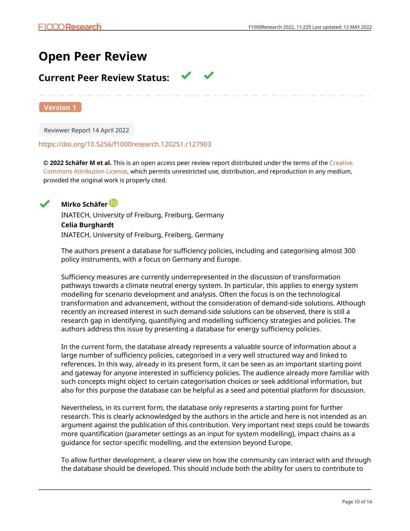# **Open Peer Review**

# **Current Peer Review Status:**

**Version 1**

Reviewer Report 14 April 2022

## <https://doi.org/10.5256/f1000research.120251.r127903>

**© 2022 Schäfer M et al.** This is an open access peer review report distributed under the terms of the [Creative](https://creativecommons.org/licenses/by/4.0/) [Commons Attribution License](https://creativecommons.org/licenses/by/4.0/), which permits unrestricted use, distribution, and reproduction in any medium, provided the original work is properly cited.



**Mirko Schäfer**

INATECH, University of Freiburg, Freiburg, Germany **Celia Burghardt** INATECH, University of Freiburg, Freiberg, Germany

The authors present a database for sufficiency policies, including and categorising almost 300 policy instruments, with a focus on Germany and Europe.

Sufficiency measures are currently underrepresented in the discussion of transformation pathways towards a climate neutral energy system. In particular, this applies to energy system modelling for scenario development and analysis. Often the focus is on the technological transformation and advancement, without the consideration of demand-side solutions. Although recently an increased interest in such demand-side solutions can be observed, there is still a research gap in identifying, quantifiying and modelling sufficiency strategies and policies. The authors address this issue by presenting a database for energy sufficiency policies.

In the current form, the database already represents a valuable source of information about a large number of sufficiency policies, categorised in a very well structured way and linked to references. In this way, already in its present form, it can be seen as an important starting point and gateway for anyone interested in sufficiency policies. The audience already more familiar with such concepts might object to certain categorisation choices or seek additional information, but also for this purpose the database can be helpful as a seed and potential platform for discussion.

Nevertheless, in its current form, the database only represents a starting point for further research. This is clearly acknowledged by the authors in the article and here is not intended as an argument against the publication of this contribution. Very important next steps could be towards more quantification (parameter settings as an input for system modelling), impact chains as a guidance for sector-specific modelling, and the extension beyond Europe.

To allow further development, a clearer view on how the community can interact with and through the database should be developed. This should include both the ability for users to contribute to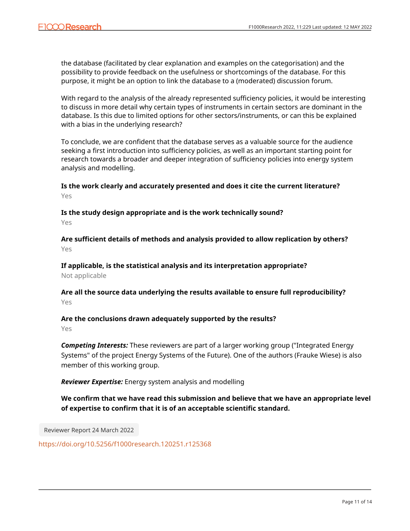the database (facilitated by clear explanation and examples on the categorisation) and the possibility to provide feedback on the usefulness or shortcomings of the database. For this purpose, it might be an option to link the database to a (moderated) discussion forum.

With regard to the analysis of the already represented sufficiency policies, it would be interesting to discuss in more detail why certain types of instruments in certain sectors are dominant in the database. Is this due to limited options for other sectors/instruments, or can this be explained with a bias in the underlying research?

To conclude, we are confident that the database serves as a valuable source for the audience seeking a first introduction into sufficiency policies, as well as an important starting point for research towards a broader and deeper integration of sufficiency policies into energy system analysis and modelling.

**Is the work clearly and accurately presented and does it cite the current literature?** Yes

**Is the study design appropriate and is the work technically sound?** Yes

**Are sufficient details of methods and analysis provided to allow replication by others?** Yes

**If applicable, is the statistical analysis and its interpretation appropriate?** Not applicable

**Are all the source data underlying the results available to ensure full reproducibility?** Yes

**Are the conclusions drawn adequately supported by the results?** Yes

*Competing Interests:* These reviewers are part of a larger working group ("Integrated Energy Systems" of the project Energy Systems of the Future). One of the authors (Frauke Wiese) is also member of this working group.

*Reviewer Expertise:* Energy system analysis and modelling

**We confirm that we have read this submission and believe that we have an appropriate level of expertise to confirm that it is of an acceptable scientific standard.**

Reviewer Report 24 March 2022

<https://doi.org/10.5256/f1000research.120251.r125368>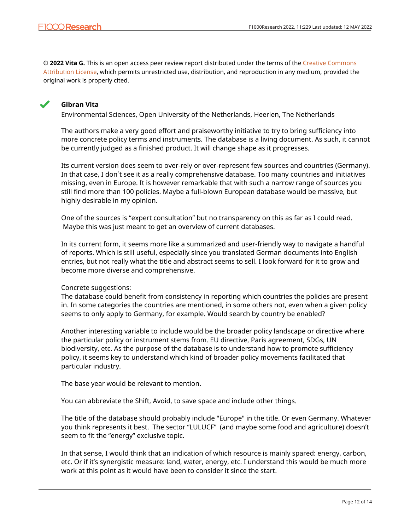**© 2022 Vita G.** This is an open access peer review report distributed under the terms of the [Creative Commons](https://creativecommons.org/licenses/by/4.0/) [Attribution License](https://creativecommons.org/licenses/by/4.0/), which permits unrestricted use, distribution, and reproduction in any medium, provided the original work is properly cited.



# **Gibran Vita**

Environmental Sciences, Open University of the Netherlands, Heerlen, The Netherlands

The authors make a very good effort and praiseworthy initiative to try to bring sufficiency into more concrete policy terms and instruments. The database is a living document. As such, it cannot be currently judged as a finished product. It will change shape as it progresses.

Its current version does seem to over-rely or over-represent few sources and countries (Germany). In that case, I don´t see it as a really comprehensive database. Too many countries and initiatives missing, even in Europe. It is however remarkable that with such a narrow range of sources you still find more than 100 policies. Maybe a full-blown European database would be massive, but highly desirable in my opinion.

One of the sources is "expert consultation" but no transparency on this as far as I could read. Maybe this was just meant to get an overview of current databases.

In its current form, it seems more like a summarized and user-friendly way to navigate a handful of reports. Which is still useful, especially since you translated German documents into English entries, but not really what the title and abstract seems to sell. I look forward for it to grow and become more diverse and comprehensive.

# Concrete suggestions:

The database could benefit from consistency in reporting which countries the policies are present in. In some categories the countries are mentioned, in some others not, even when a given policy seems to only apply to Germany, for example. Would search by country be enabled?

Another interesting variable to include would be the broader policy landscape or directive where the particular policy or instrument stems from. EU directive, Paris agreement, SDGs, UN biodiversity, etc. As the purpose of the database is to understand how to promote sufficiency policy, it seems key to understand which kind of broader policy movements facilitated that particular industry.

The base year would be relevant to mention.

You can abbreviate the Shift, Avoid, to save space and include other things.

The title of the database should probably include "Europe" in the title. Or even Germany. Whatever you think represents it best. The sector "LULUCF" (and maybe some food and agriculture) doesn't seem to fit the "energy" exclusive topic.

In that sense, I would think that an indication of which resource is mainly spared: energy, carbon, etc. Or if it's synergistic measure: land, water, energy, etc. I understand this would be much more work at this point as it would have been to consider it since the start.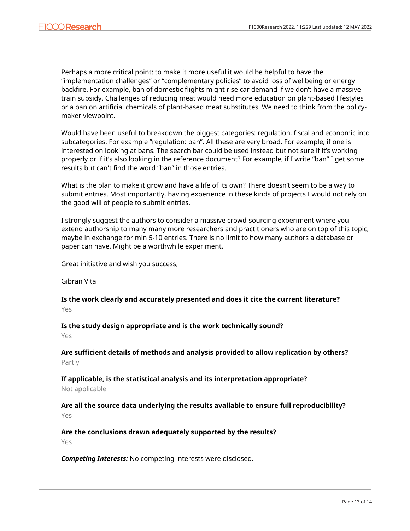Perhaps a more critical point: to make it more useful it would be helpful to have the "implementation challenges" or "complementary policies" to avoid loss of wellbeing or energy backfire. For example, ban of domestic flights might rise car demand if we don't have a massive train subsidy. Challenges of reducing meat would need more education on plant-based lifestyles or a ban on artificial chemicals of plant-based meat substitutes. We need to think from the policymaker viewpoint.

Would have been useful to breakdown the biggest categories: regulation, fiscal and economic into subcategories. For example "regulation: ban". All these are very broad. For example, if one is interested on looking at bans. The search bar could be used instead but not sure if it's working properly or if it's also looking in the reference document? For example, if I write "ban" I get some results but can't find the word "ban" in those entries.

What is the plan to make it grow and have a life of its own? There doesn't seem to be a way to submit entries. Most importantly, having experience in these kinds of projects I would not rely on the good will of people to submit entries.

I strongly suggest the authors to consider a massive crowd-sourcing experiment where you extend authorship to many many more researchers and practitioners who are on top of this topic, maybe in exchange for min 5-10 entries. There is no limit to how many authors a database or paper can have. Might be a worthwhile experiment.

Great initiative and wish you success,

Gibran Vita

**Is the work clearly and accurately presented and does it cite the current literature?** Yes

**Is the study design appropriate and is the work technically sound?**

Yes

**Are sufficient details of methods and analysis provided to allow replication by others?** Partly

**If applicable, is the statistical analysis and its interpretation appropriate?**

Not applicable

**Are all the source data underlying the results available to ensure full reproducibility?** Yes

**Are the conclusions drawn adequately supported by the results?**

Yes

*Competing Interests:* No competing interests were disclosed.